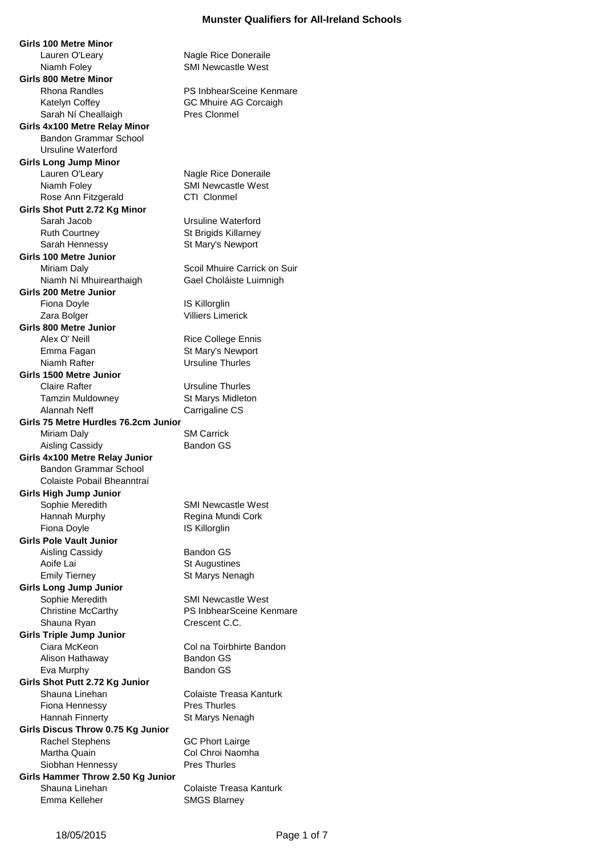**Girls 100 Metre Minor** Lauren O'Leary **Nagle Rice Doneraile** Niamh Foley **SMI Newcastle West Girls 800 Metre Minor** Rhona Randles **PS InbhearSceine Kenmare** Katelyn Coffey GC Mhuire AG Corcaigh Sarah Ní Cheallaigh Pres Clonmel **Girls 4x100 Metre Relay Minor** Bandon Grammar School Ursuline Waterford **Girls Long Jump Minor** Lauren O'Leary Nagle Rice Doneraile Niamh Foley SMI Newcastle West Rose Ann Fitzgerald CTI Clonmel **Girls Shot Putt 2.72 Kg Minor** Sarah Jacob Ursuline Waterford Ruth Courtney **St Brigids Killarney** Sarah Hennessy St Mary's Newport **Girls 100 Metre Junior** Miriam Daly **Scoil Mhuire Carrick on Suir** Scoil Mhuire Carrick on Suir Niamh Ní Mhuirearthaigh Gael Choláiste Luimnigh **Girls 200 Metre Junior** Fiona Doyle **IS Killorglin** Zara Bolger **Villiers** Limerick **Girls 800 Metre Junior** Alex O' Neill **Rice College Ennis** Emma Fagan St Mary's Newport Niamh Rafter **Nights** Ursuline Thurles **Girls 1500 Metre Junior** Claire Rafter **Claire Rafter** Ursuline Thurles Tamzin Muldowney St Marys Midleton Alannah Neff Carrigaline CS **Girls 75 Metre Hurdles 76.2cm Junior** Miriam Daly **SM Carrick** Aisling Cassidy **Bandon GS Girls 4x100 Metre Relay Junior** Bandon Grammar School Colaiste Pobail Bheanntraí **Girls High Jump Junior** Sophie Meredith SMI Newcastle West Hannah Murphy **Regina Mundi Cork** Fiona Doyle **IS Killorglin Girls Pole Vault Junior** Aisling Cassidy Bandon GS Aoife Lai St Augustines Emily Tierney **St Marys Nenagh Girls Long Jump Junior** Sophie Meredith SMI Newcastle West Christine McCarthy PS InbhearSceine Kenmare Shauna Ryan Crescent C.C. **Girls Triple Jump Junior** Ciara McKeon Col na Toirbhirte Bandon Alison Hathaway Bandon GS Eva Murphy Bandon GS **Girls Shot Putt 2.72 Kg Junior** Shauna Linehan Colaiste Treasa Kanturk Fiona Hennessy **Pres Thurles** Hannah Finnerty St Marys Nenagh **Girls Discus Throw 0.75 Kg Junior** Rachel Stephens GC Phort Lairge Martha Quain Col Chroi Naomha Siobhan Hennessy Pres Thurles **Girls Hammer Throw 2.50 Kg Junior** Shauna Linehan Colaiste Treasa Kanturk Emma Kelleher SMGS Blarney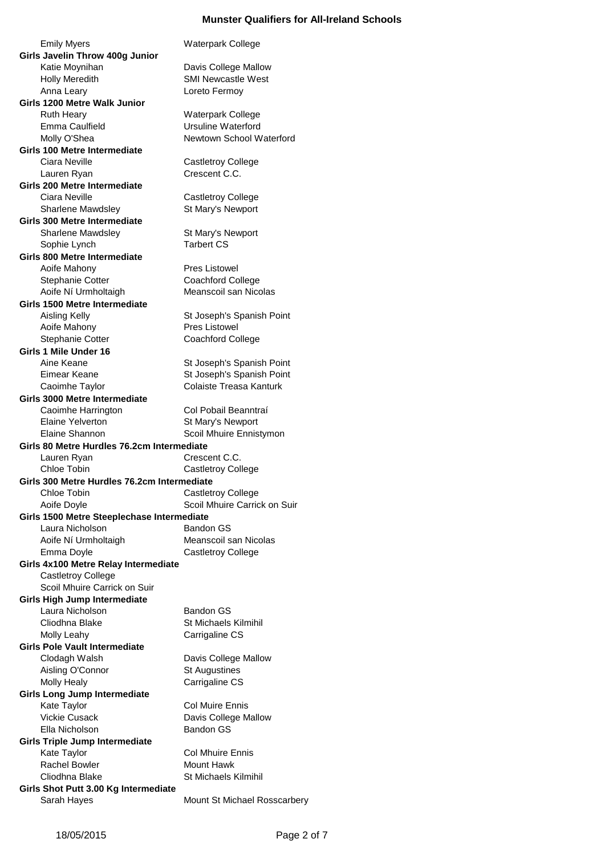Emily Myers Waterpark College **Girls Javelin Throw 400g Junior** Katie Moynihan Davis College Mallow Holly Meredith SMI Newcastle West Anna Leary Loreto Fermoy **Girls 1200 Metre Walk Junior** Ruth Heary Waterpark College Emma Caulfield **Ursuline Waterford** Molly O'Shea Newtown School Waterford **Girls 100 Metre Intermediate** Ciara Neville **Castletroy College** Lauren Ryan Crescent C.C. **Girls 200 Metre Intermediate** Ciara Neville **Castletroy College** Sharlene Mawdsley St Mary's Newport **Girls 300 Metre Intermediate** Sharlene Mawdsley St Mary's Newport Sophie Lynch Tarbert CS **Girls 800 Metre Intermediate** Aoife Mahony **Pres** Listowel Stephanie Cotter Coachford College Aoife Ní Urmholtaigh Meanscoil san Nicolas **Girls 1500 Metre Intermediate** Aisling Kelly **St Joseph's Spanish Point** Aoife Mahony **Pres** Listowel Stephanie Cotter Coachford College **Girls 1 Mile Under 16** Aine Keane St Joseph's Spanish Point Eimear Keane St Joseph's Spanish Point Caoimhe Taylor Colaiste Treasa Kanturk **Girls 3000 Metre Intermediate** Caoimhe Harrington Col Pobail Beanntraí Elaine Yelverton St Mary's Newport Elaine Shannon Scoil Mhuire Ennistymon **Girls 80 Metre Hurdles 76.2cm Intermediate** Lauren Ryan Crescent C.C. Chloe Tobin Castletroy College **Girls 300 Metre Hurdles 76.2cm Intermediate** Chloe Tobin Castletroy College Aoife Doyle **Scoil Mhuire Carrick on Suir Girls 1500 Metre Steeplechase Intermediate** Laura Nicholson Bandon GS Aoife Ní Urmholtaigh Meanscoil san Nicolas Emma Doyle **Castletroy College Girls 4x100 Metre Relay Intermediate** Castletroy College Scoil Mhuire Carrick on Suir **Girls High Jump Intermediate** Laura Nicholson Bandon GS Cliodhna Blake St Michaels Kilmihil Molly Leahy Carrigaline CS **Girls Pole Vault Intermediate** Clodagh Walsh Davis College Mallow Aisling O'Connor St Augustines Molly Healy **Carrigaline CS Girls Long Jump Intermediate** Kate Taylor **Col Muire Ennis** Vickie Cusack **Davis College Mallow** Ella Nicholson Bandon GS **Girls Triple Jump Intermediate** Kate Taylor **Col Mhuire Ennis** Rachel Bowler Mount Hawk Cliodhna Blake St Michaels Kilmihil **Girls Shot Putt 3.00 Kg Intermediate**

Sarah Hayes Mount St Michael Rosscarbery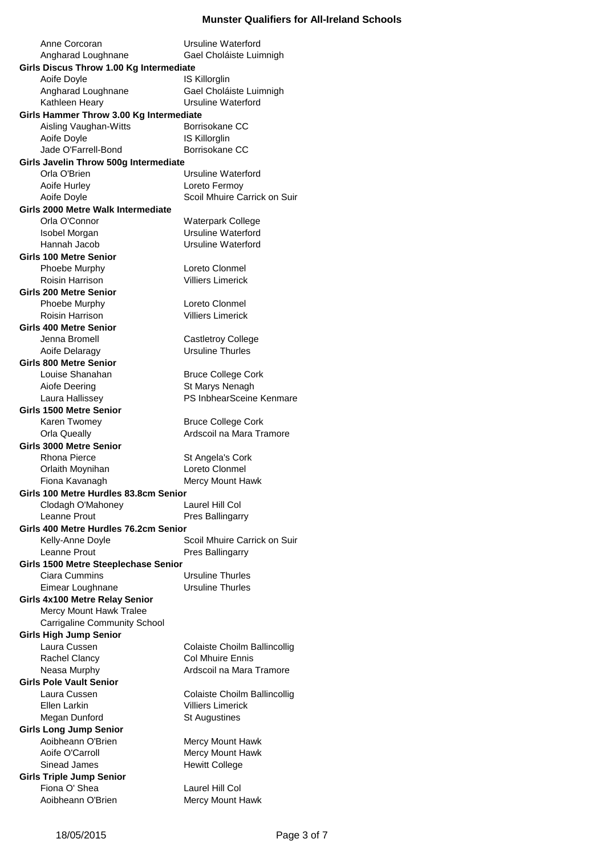| Anne Corcoran                                     | Ursuline Waterford                            |
|---------------------------------------------------|-----------------------------------------------|
| Gael Choláiste Luimnigh<br>Angharad Loughnane     |                                               |
| Girls Discus Throw 1.00 Kg Intermediate           |                                               |
| Aoife Doyle                                       | IS Killorglin                                 |
| Angharad Loughnane                                | Gael Choláiste Luimnigh                       |
| Kathleen Heary<br>Ursuline Waterford              |                                               |
| Girls Hammer Throw 3.00 Kg Intermediate           |                                               |
| Aisling Vaughan-Witts                             | Borrisokane CC                                |
| Aoife Doyle                                       | IS Killorglin                                 |
| Jade O'Farrell-Bond<br>Borrisokane CC             |                                               |
| Girls Javelin Throw 500g Intermediate             |                                               |
| Orla O'Brien                                      | <b>Ursuline Waterford</b>                     |
| Aoife Hurley                                      | Loreto Fermoy<br>Scoil Mhuire Carrick on Suir |
| Aoife Doyle<br>Girls 2000 Metre Walk Intermediate |                                               |
| Orla O'Connor                                     | <b>Waterpark College</b>                      |
| Isobel Morgan                                     | <b>Ursuline Waterford</b>                     |
| Hannah Jacob                                      | Ursuline Waterford                            |
| <b>Girls 100 Metre Senior</b>                     |                                               |
| Phoebe Murphy                                     | Loreto Clonmel                                |
| <b>Roisin Harrison</b>                            | <b>Villiers Limerick</b>                      |
| <b>Girls 200 Metre Senior</b>                     |                                               |
| Phoebe Murphy                                     | Loreto Clonmel                                |
| <b>Roisin Harrison</b>                            | <b>Villiers Limerick</b>                      |
| <b>Girls 400 Metre Senior</b>                     |                                               |
| Jenna Bromell                                     | Castletroy College                            |
| Aoife Delaragy                                    | <b>Ursuline Thurles</b>                       |
| <b>Girls 800 Metre Senior</b>                     |                                               |
| Louise Shanahan                                   | <b>Bruce College Cork</b>                     |
| Aiofe Deering                                     | St Marys Nenagh                               |
| Laura Hallissey                                   | PS InbhearSceine Kenmare                      |
| <b>Girls 1500 Metre Senior</b>                    |                                               |
| Karen Twomey                                      | <b>Bruce College Cork</b>                     |
| <b>Orla Queally</b>                               | Ardscoil na Mara Tramore                      |
| <b>Girls 3000 Metre Senior</b>                    |                                               |
| <b>Rhona Pierce</b>                               | St Angela's Cork                              |
| Orlaith Moynihan                                  | Loreto Clonmel                                |
| Fiona Kavanagh                                    | Mercy Mount Hawk                              |
| Girls 100 Metre Hurdles 83.8cm Senior             |                                               |
| Clodagh O'Mahoney<br>Leanne Prout                 | Laurel Hill Col                               |
| Girls 400 Metre Hurdles 76.2cm Senior             | Pres Ballingarry                              |
| Kelly-Anne Doyle                                  | Scoil Mhuire Carrick on Suir                  |
| Leanne Prout                                      | Pres Ballingarry                              |
| Girls 1500 Metre Steeplechase Senior              |                                               |
| Ciara Cummins                                     | <b>Ursuline Thurles</b>                       |
| Eimear Loughnane                                  | <b>Ursuline Thurles</b>                       |
| Girls 4x100 Metre Relay Senior                    |                                               |
| Mercy Mount Hawk Tralee                           |                                               |
| <b>Carrigaline Community School</b>               |                                               |
| <b>Girls High Jump Senior</b>                     |                                               |
| Laura Cussen                                      | Colaiste Choilm Ballincollig                  |
| Rachel Clancy                                     | <b>Col Mhuire Ennis</b>                       |
| Neasa Murphy                                      | Ardscoil na Mara Tramore                      |
| <b>Girls Pole Vault Senior</b>                    |                                               |
| Laura Cussen                                      | Colaiste Choilm Ballincollig                  |
| Ellen Larkin                                      | <b>Villiers Limerick</b>                      |
| Megan Dunford                                     | <b>St Augustines</b>                          |
| <b>Girls Long Jump Senior</b>                     |                                               |
| Aoibheann O'Brien                                 | Mercy Mount Hawk                              |
| Aoife O'Carroll                                   | Mercy Mount Hawk                              |
| Sinead James                                      | <b>Hewitt College</b>                         |
| <b>Girls Triple Jump Senior</b>                   |                                               |
| Fiona O' Shea                                     | Laurel Hill Col                               |
| Aoibheann O'Brien                                 | Mercy Mount Hawk                              |
|                                                   |                                               |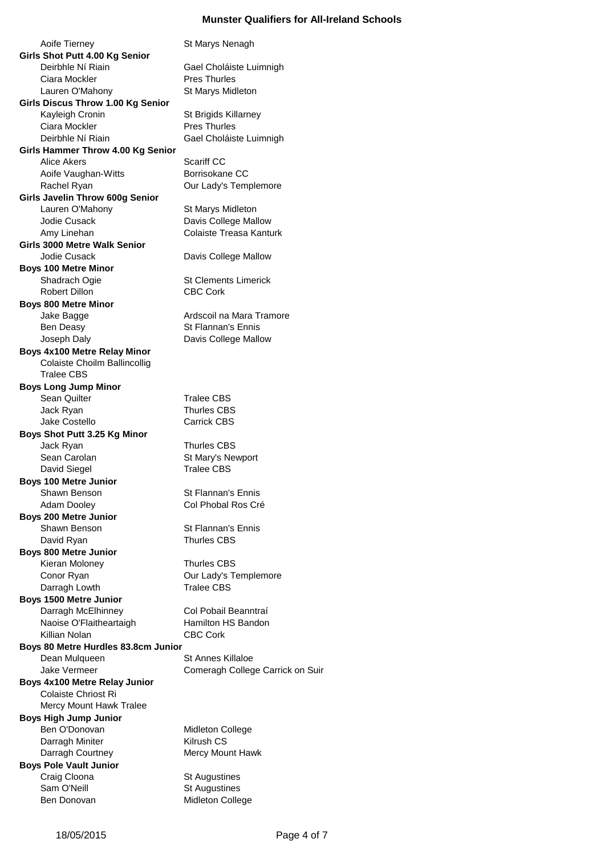Aoife Tierney **St Marys Nenagh Girls Shot Putt 4.00 Kg Senior** Deirbhle Ní Riain Gael Choláiste Luimnigh Ciara Mockler **Pres Thurles** Lauren O'Mahony St Marys Midleton **Girls Discus Throw 1.00 Kg Senior** Kayleigh Cronin St Brigids Killarney Ciara Mockler **Pres Thurles** Deirbhle Ní Riain Gael Choláiste Luimnigh **Girls Hammer Throw 4.00 Kg Senior** Alice Akers Scariff CC Aoife Vaughan-Witts Borrisokane CC Rachel Ryan **Canada Contract Contract Contract Contract Contract Contract Contract Contract Contract Contract Contract Contract Contract Contract Contract Contract Contract Contract Contract Contract Contract Contract Cont Girls Javelin Throw 600g Senior** Lauren O'Mahony St Marys Midleton Jodie Cusack Davis College Mallow Amy Linehan Colaiste Treasa Kanturk **Girls 3000 Metre Walk Senior** Jodie Cusack Davis College Mallow **Boys 100 Metre Minor** Shadrach Ogie St Clements Limerick Robert Dillon CBC Cork **Boys 800 Metre Minor** Jake Bagge **Ardscoil na Mara Tramore** Ben Deasy St Flannan's Ennis Joseph Daly **Davis College Mallow Boys 4x100 Metre Relay Minor** Colaiste Choilm Ballincollig Tralee CBS **Boys Long Jump Minor** Sean Quilter Tralee CBS Jack Ryan Thurles CBS Jake Costello Carrick CBS **Boys Shot Putt 3.25 Kg Minor** Jack Ryan Thurles CBS Sean Carolan Sean Carolan St Mary's Newport David Siegel Tralee CBS **Boys 100 Metre Junior** Shawn Benson St Flannan's Ennis Adam Dooley Col Phobal Ros Cré **Boys 200 Metre Junior** Shawn Benson St Flannan's Ennis David Ryan Thurles CBS **Boys 800 Metre Junior** Kieran Moloney Thurles CBS Conor Ryan Conor Ryan Conor Ryan Conor Ryan Conserved Cur Lady's Templemore Darragh Lowth Tralee CBS **Boys 1500 Metre Junior** Darragh McElhinney Col Pobail Beanntraí Naoise O'Flaitheartaigh Hamilton HS Bandon Killian Nolan CBC Cork **Boys 80 Metre Hurdles 83.8cm Junior** Dean Mulqueen St Annes Killaloe Jake Vermeer **Comeragh College Carrick on Suir Boys 4x100 Metre Relay Junior** Colaiste Chriost Ri Mercy Mount Hawk Tralee **Boys High Jump Junior** Ben O'Donovan Midleton College Darragh Miniter **Kilrush CS** Darragh Courtney Mercy Mount Hawk **Boys Pole Vault Junior** Craig Cloona St Augustines Sam O'Neill Sam O'Neill St Augustines

Ben Donovan Midleton College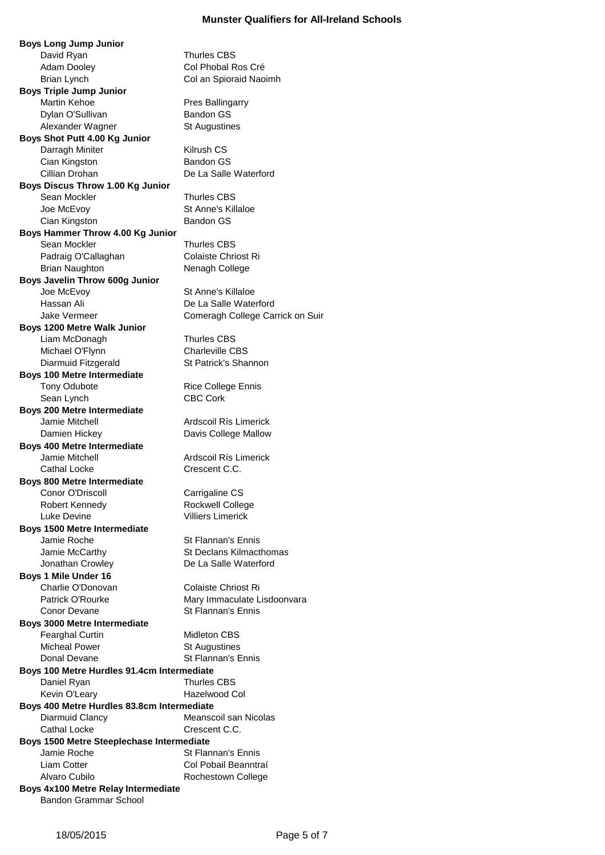**Boys Long Jump Junior** David Ryan Thurles CBS Adam Dooley Col Phobal Ros Cré Brian Lynch Col an Spioraid Naoimh **Boys Triple Jump Junior** Martin Kehoe **Pres Ballingarry** Dylan O'Sullivan Bandon GS Alexander Wagner St Augustines **Boys Shot Putt 4.00 Kg Junior** Darragh Miniter Kilrush CS Cian Kingston Bandon GS Cillian Drohan De La Salle Waterford **Boys Discus Throw 1.00 Kg Junior** Sean Mockler Thurles CBS Joe McEvoy **St Anne's Killaloe** Cian Kingston Bandon GS **Boys Hammer Throw 4.00 Kg Junior** Sean Mockler Thurles CBS Padraig O'Callaghan Colaiste Chriost Ri Brian Naughton Nenagh College **Boys Javelin Throw 600g Junior** Joe McEvoy St Anne's Killaloe Hassan Ali De La Salle Waterford Jake Vermeer **Comeragh College Carrick on Suir Boys 1200 Metre Walk Junior** Liam McDonagh Thurles CBS Michael O'Flynn Charleville CBS Diarmuid Fitzgerald St Patrick's Shannon **Boys 100 Metre Intermediate** Tony Odubote **Rice College Ennis** Sean Lynch CBC Cork **Boys 200 Metre Intermediate** Jamie Mitchell **Ardscoil Rís Limerick** Damien Hickey Davis College Mallow **Boys 400 Metre Intermediate** Jamie Mitchell **Ardscoil Rís Limerick** Cathal Locke Crescent C.C. **Boys 800 Metre Intermediate** Conor O'Driscoll Carrigaline CS Robert Kennedy **Rockwell College** Luke Devine Villiers Limerick **Boys 1500 Metre Intermediate** Jamie Roche St Flannan's Ennis Jamie McCarthy St Declans Kilmacthomas Jonathan Crowley **De La Salle Waterford Boys 1 Mile Under 16** Charlie O'Donovan Colaiste Chriost Ri Patrick O'Rourke Mary Immaculate Lisdoonvara Conor Devane St Flannan's Ennis **Boys 3000 Metre Intermediate** Fearghal Curtin Midleton CBS Micheal Power St Augustines Donal Devane St Flannan's Ennis **Boys 100 Metre Hurdles 91.4cm Intermediate** Daniel Ryan Thurles CBS Kevin O'Leary **Hazelwood Col Boys 400 Metre Hurdles 83.8cm Intermediate** Diarmuid Clancy Meanscoil san Nicolas Cathal Locke Crescent C.C. **Boys 1500 Metre Steeplechase Intermediate** Jamie Roche St Flannan's Ennis Liam Cotter **Col Pobail Beanntraí** Alvaro Cubilo **Rochestown College Boys 4x100 Metre Relay Intermediate**

Bandon Grammar School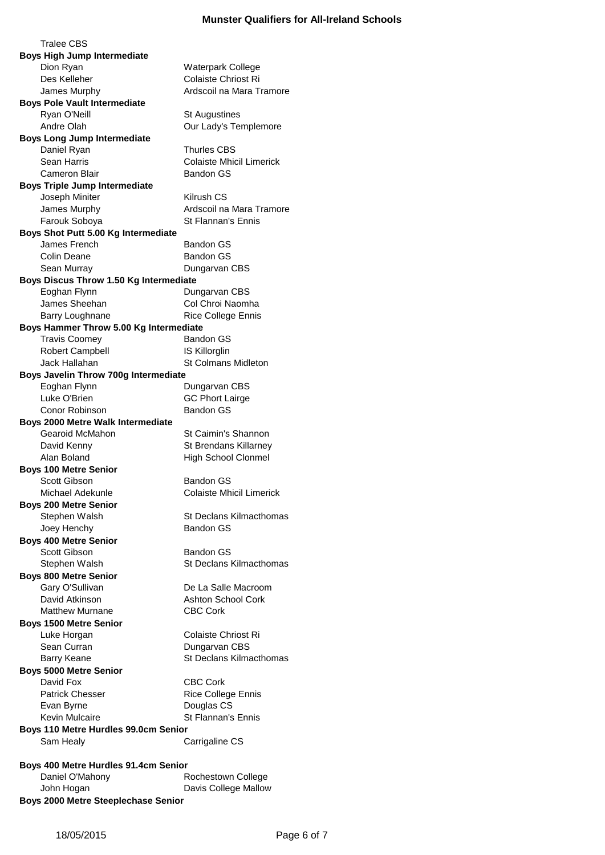Tralee CBS **Boys High Jump Intermediate** Dion Ryan Waterpark College Des Kelleher Colaiste Chriost Ri James Murphy **Ardscoil na Mara Tramore Boys Pole Vault Intermediate** Ryan O'Neill St Augustines Andre Olah **Our Lady's Templemore Boys Long Jump Intermediate** Daniel Ryan Thurles CBS Sean Harris Colaiste Mhicil Limerick Cameron Blair **Bandon GS Boys Triple Jump Intermediate** Joseph Miniter **Kilrush CS** James Murphy **Ardscoil na Mara Tramore** Farouk Soboya St Flannan's Ennis **Boys Shot Putt 5.00 Kg Intermediate** James French Bandon GS Colin Deane **Bandon GS** Sean Murray Dungarvan CBS **Boys Discus Throw 1.50 Kg Intermediate** Eoghan Flynn Dungarvan CBS James Sheehan Col Chroi Naomha Barry Loughnane Rice College Ennis **Boys Hammer Throw 5.00 Kg Intermediate** Travis Coomey Bandon GS Robert Campbell **IS Killorglin** Jack Hallahan St Colmans Midleton **Boys Javelin Throw 700g Intermediate** Eoghan Flynn Dungarvan CBS Luke O'Brien GC Phort Lairge Conor Robinson Bandon GS **Boys 2000 Metre Walk Intermediate** Gearoid McMahon St Caimin's Shannon David Kenny St Brendans Killarney Alan Boland High School Clonmel **Boys 100 Metre Senior** Scott Gibson Bandon GS Michael Adekunle Colaiste Mhicil Limerick **Boys 200 Metre Senior** Stephen Walsh St Declans Kilmacthomas Joey Henchy **Bandon GS Boys 400 Metre Senior** Scott Gibson Bandon GS Stephen Walsh Stephen Walsh St Declans Kilmacthomas **Boys 800 Metre Senior** Gary O'Sullivan De La Salle Macroom David Atkinson **Ashton School Cork** Matthew Murnane CBC Cork **Boys 1500 Metre Senior** Luke Horgan Colaiste Chriost Ri Sean Curran Dungarvan CBS Barry Keane St Declans Kilmacthomas **Boys 5000 Metre Senior** David Fox CBC Cork Patrick Chesser Rice College Ennis Evan Byrne Douglas CS Kevin Mulcaire **St Flannan's Ennis Boys 110 Metre Hurdles 99.0cm Senior** Sam Healy **Carrigaline CS Boys 400 Metre Hurdles 91.4cm Senior** Daniel O'Mahony Rochestown College John Hogan **Davis College Mallow** 

**Boys 2000 Metre Steeplechase Senior**